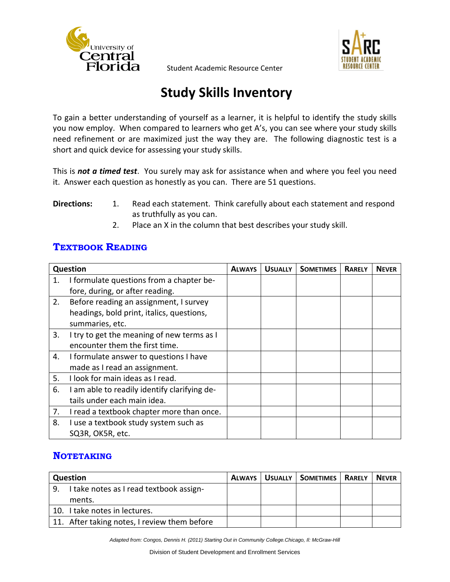

# **Study Skills Inventory**

To gain a better understanding of yourself as a learner, it is helpful to identify the study skills you now employ. When compared to learners who get A's, you can see where your study skills need refinement or are maximized just the way they are. The following diagnostic test is a short and quick device for assessing your study skills.

This is *not a timed test*. You surely may ask for assistance when and where you feel you need it. Answer each question as honestly as you can. There are 51 questions.

#### **Directions:** 1. Read each statement. Think carefully about each statement and respond as truthfully as you can.

2. Place an X in the column that best describes your study skill.

#### **TEXTBOOK READING**

|    | Question                                     | <b>ALWAYS</b> | <b>USUALLY</b> | <b>SOMETIMES</b> | <b>RARELY</b> | <b>NEVER</b> |
|----|----------------------------------------------|---------------|----------------|------------------|---------------|--------------|
| 1. | I formulate questions from a chapter be-     |               |                |                  |               |              |
|    | fore, during, or after reading.              |               |                |                  |               |              |
| 2. | Before reading an assignment, I survey       |               |                |                  |               |              |
|    | headings, bold print, italics, questions,    |               |                |                  |               |              |
|    | summaries, etc.                              |               |                |                  |               |              |
| 3. | I try to get the meaning of new terms as I   |               |                |                  |               |              |
|    | encounter them the first time.               |               |                |                  |               |              |
| 4. | I formulate answer to questions I have       |               |                |                  |               |              |
|    | made as I read an assignment.                |               |                |                  |               |              |
| 5. | I look for main ideas as I read.             |               |                |                  |               |              |
| 6. | I am able to readily identify clarifying de- |               |                |                  |               |              |
|    | tails under each main idea.                  |               |                |                  |               |              |
| 7. | I read a textbook chapter more than once.    |               |                |                  |               |              |
| 8. | I use a textbook study system such as        |               |                |                  |               |              |
|    | SQ3R, OK5R, etc.                             |               |                |                  |               |              |

### **NOTETAKING**

|                                               | <b>Question</b>                              |  | ALWAYS   USUALLY   SOMETIMES   RARELY | <b>NEVER</b> |
|-----------------------------------------------|----------------------------------------------|--|---------------------------------------|--------------|
| I take notes as I read textbook assign-<br>9. |                                              |  |                                       |              |
|                                               | ments.                                       |  |                                       |              |
|                                               | 10. I take notes in lectures.                |  |                                       |              |
|                                               | 11. After taking notes, I review them before |  |                                       |              |

*Adapted from: Congos, Dennis H. (2011) Starting Out in Community College.Chicago, Il: McGraw-Hill*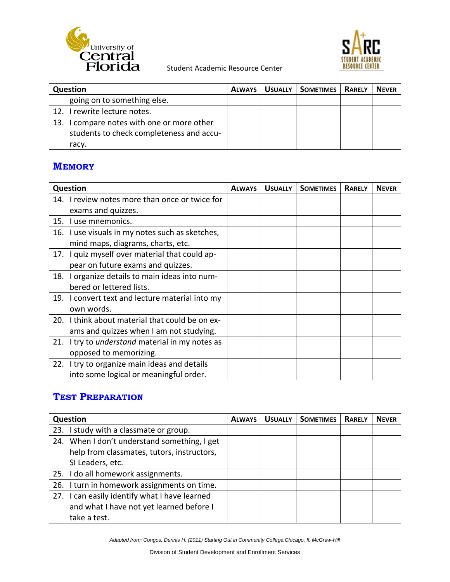



| <b>Question</b>                            | <b>ALWAYS</b> | <b>USUALLY</b> | <b>SOMETIMES</b> | <b>RARELY</b> | <b>NEVER</b> |
|--------------------------------------------|---------------|----------------|------------------|---------------|--------------|
| going on to something else.                |               |                |                  |               |              |
| 12. I rewrite lecture notes.               |               |                |                  |               |              |
| 13. I compare notes with one or more other |               |                |                  |               |              |
| students to check completeness and accu-   |               |                |                  |               |              |
| racy.                                      |               |                |                  |               |              |

### **MEMORY**

|     | <b>Question</b>                                 | <b>ALWAYS</b> | <b>USUALLY</b> | <b>SOMETIMES</b> | <b>RARELY</b> | <b>NEVER</b> |
|-----|-------------------------------------------------|---------------|----------------|------------------|---------------|--------------|
|     | 14. I review notes more than once or twice for  |               |                |                  |               |              |
|     | exams and quizzes.                              |               |                |                  |               |              |
|     | 15. I use mnemonics.                            |               |                |                  |               |              |
|     | 16. I use visuals in my notes such as sketches, |               |                |                  |               |              |
|     | mind maps, diagrams, charts, etc.               |               |                |                  |               |              |
|     | 17. I quiz myself over material that could ap-  |               |                |                  |               |              |
|     | pear on future exams and quizzes.               |               |                |                  |               |              |
| 18. | I organize details to main ideas into num-      |               |                |                  |               |              |
|     | bered or lettered lists.                        |               |                |                  |               |              |
|     | 19. I convert text and lecture material into my |               |                |                  |               |              |
|     | own words.                                      |               |                |                  |               |              |
|     | 20. I think about material that could be on ex- |               |                |                  |               |              |
|     | ams and quizzes when I am not studying.         |               |                |                  |               |              |
| 21. | I try to understand material in my notes as     |               |                |                  |               |              |
|     | opposed to memorizing.                          |               |                |                  |               |              |
|     | 22. I try to organize main ideas and details    |               |                |                  |               |              |
|     | into some logical or meaningful order.          |               |                |                  |               |              |

## **TEST PREPARATION**

| <b>Question</b>                               | <b>ALWAYS</b> | <b>USUALLY</b> | <b>SOMETIMES</b> | <b>RARELY</b> | <b>NEVER</b> |
|-----------------------------------------------|---------------|----------------|------------------|---------------|--------------|
| 23. I study with a classmate or group.        |               |                |                  |               |              |
| 24. When I don't understand something, I get  |               |                |                  |               |              |
| help from classmates, tutors, instructors,    |               |                |                  |               |              |
| SI Leaders, etc.                              |               |                |                  |               |              |
| 25. I do all homework assignments.            |               |                |                  |               |              |
| 26. I turn in homework assignments on time.   |               |                |                  |               |              |
| 27. I can easily identify what I have learned |               |                |                  |               |              |
| and what I have not yet learned before I      |               |                |                  |               |              |
| take a test.                                  |               |                |                  |               |              |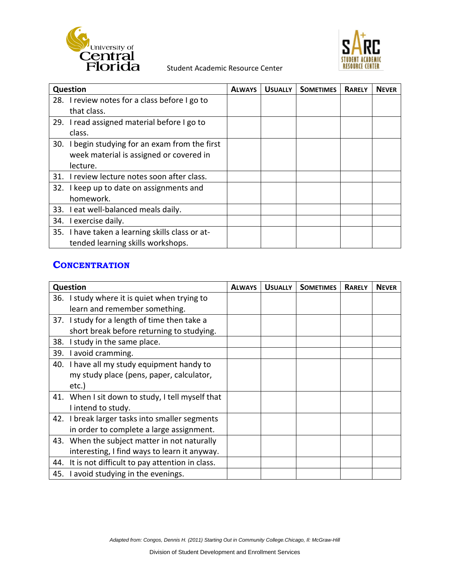



| Question             |                                                 | <b>ALWAYS</b> | <b>USUALLY</b> | <b>SOMETIMES</b> | <b>RARELY</b> | <b>NEVER</b> |
|----------------------|-------------------------------------------------|---------------|----------------|------------------|---------------|--------------|
|                      | 28. I review notes for a class before I go to   |               |                |                  |               |              |
| that class.          |                                                 |               |                |                  |               |              |
|                      | 29. I read assigned material before I go to     |               |                |                  |               |              |
| class.               |                                                 |               |                |                  |               |              |
|                      | 30. I begin studying for an exam from the first |               |                |                  |               |              |
|                      | week material is assigned or covered in         |               |                |                  |               |              |
| lecture.             |                                                 |               |                |                  |               |              |
| 31.                  | I review lecture notes soon after class.        |               |                |                  |               |              |
|                      | 32. I keep up to date on assignments and        |               |                |                  |               |              |
| homework.            |                                                 |               |                |                  |               |              |
|                      | 33. I eat well-balanced meals daily.            |               |                |                  |               |              |
| 34. Lexercise daily. |                                                 |               |                |                  |               |              |
|                      | 35. I have taken a learning skills class or at- |               |                |                  |               |              |
|                      | tended learning skills workshops.               |               |                |                  |               |              |

#### **CONCENTRATION**

|     | <b>Question</b>                                  | <b>ALWAYS</b> | <b>USUALLY</b> | <b>SOMETIMES</b> | <b>RARELY</b> | <b>NEVER</b> |
|-----|--------------------------------------------------|---------------|----------------|------------------|---------------|--------------|
|     | 36. I study where it is quiet when trying to     |               |                |                  |               |              |
|     | learn and remember something.                    |               |                |                  |               |              |
|     | 37. I study for a length of time then take a     |               |                |                  |               |              |
|     | short break before returning to studying.        |               |                |                  |               |              |
| 38. | I study in the same place.                       |               |                |                  |               |              |
| 39. | I avoid cramming.                                |               |                |                  |               |              |
|     | 40. I have all my study equipment handy to       |               |                |                  |               |              |
|     | my study place (pens, paper, calculator,         |               |                |                  |               |              |
|     | etc.)                                            |               |                |                  |               |              |
|     | 41. When I sit down to study, I tell myself that |               |                |                  |               |              |
|     | I intend to study.                               |               |                |                  |               |              |
|     | 42. I break larger tasks into smaller segments   |               |                |                  |               |              |
|     | in order to complete a large assignment.         |               |                |                  |               |              |
|     | 43. When the subject matter in not naturally     |               |                |                  |               |              |
|     | interesting, I find ways to learn it anyway.     |               |                |                  |               |              |
| 44. | It is not difficult to pay attention in class.   |               |                |                  |               |              |
|     | 45. I avoid studying in the evenings.            |               |                |                  |               |              |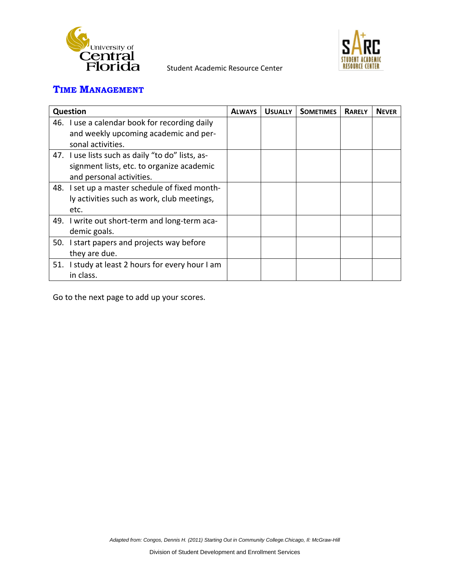



## **TIME MANAGEMENT**

| Question                                         | <b>ALWAYS</b> | <b>USUALLY</b> | <b>SOMETIMES</b> | <b>RARELY</b> | <b>NEVER</b> |
|--------------------------------------------------|---------------|----------------|------------------|---------------|--------------|
| 46. I use a calendar book for recording daily    |               |                |                  |               |              |
| and weekly upcoming academic and per-            |               |                |                  |               |              |
| sonal activities.                                |               |                |                  |               |              |
| 47. I use lists such as daily "to do" lists, as- |               |                |                  |               |              |
| signment lists, etc. to organize academic        |               |                |                  |               |              |
| and personal activities.                         |               |                |                  |               |              |
| 48. I set up a master schedule of fixed month-   |               |                |                  |               |              |
| ly activities such as work, club meetings,       |               |                |                  |               |              |
| etc.                                             |               |                |                  |               |              |
| 49. I write out short-term and long-term aca-    |               |                |                  |               |              |
| demic goals.                                     |               |                |                  |               |              |
| 50. I start papers and projects way before       |               |                |                  |               |              |
| they are due.                                    |               |                |                  |               |              |
| 51. I study at least 2 hours for every hour I am |               |                |                  |               |              |
| in class.                                        |               |                |                  |               |              |

Go to the next page to add up your scores.